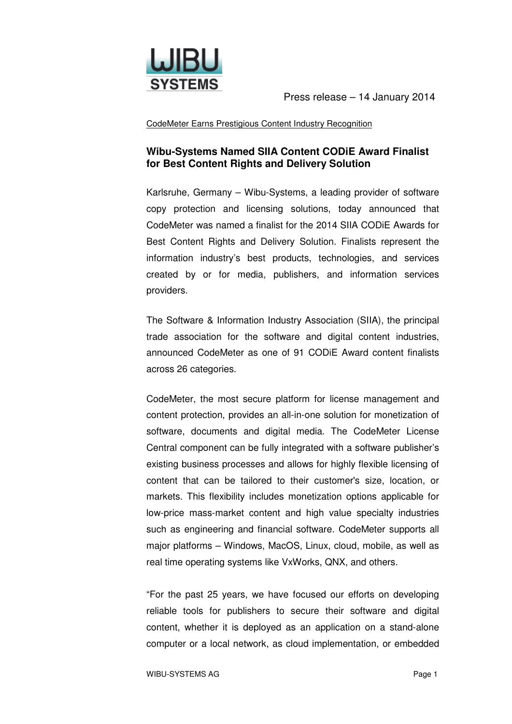

Press release – 14 January 2014

CodeMeter Earns Prestigious Content Industry Recognition

## **Wibu-Systems Named SIIA Content CODiE Award Finalist for Best Content Rights and Delivery Solution**

Karlsruhe, Germany – Wibu-Systems, a leading provider of software copy protection and licensing solutions, today announced that CodeMeter was named a finalist for the 2014 SIIA CODiE Awards for Best Content Rights and Delivery Solution. Finalists represent the information industry's best products, technologies, and services created by or for media, publishers, and information services providers.

The Software & Information Industry Association (SIIA), the principal trade association for the software and digital content industries, announced CodeMeter as one of 91 CODiE Award content finalists across 26 categories.

CodeMeter, the most secure platform for license management and content protection, provides an all-in-one solution for monetization of software, documents and digital media. The CodeMeter License Central component can be fully integrated with a software publisher's existing business processes and allows for highly flexible licensing of content that can be tailored to their customer's size, location, or markets. This flexibility includes monetization options applicable for low-price mass-market content and high value specialty industries such as engineering and financial software. CodeMeter supports all major platforms – Windows, MacOS, Linux, cloud, mobile, as well as real time operating systems like VxWorks, QNX, and others.

"For the past 25 years, we have focused our efforts on developing reliable tools for publishers to secure their software and digital content, whether it is deployed as an application on a stand-alone computer or a local network, as cloud implementation, or embedded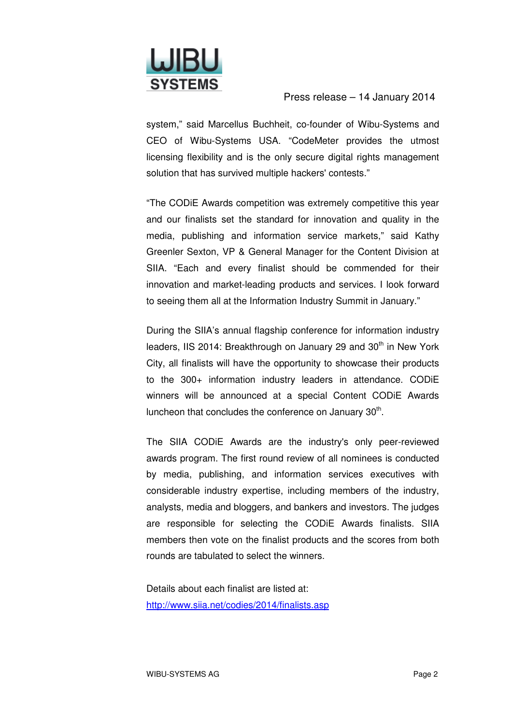

## Press release – 14 January 2014

system," said Marcellus Buchheit, co-founder of Wibu-Systems and CEO of Wibu-Systems USA. "CodeMeter provides the utmost licensing flexibility and is the only secure digital rights management solution that has survived multiple hackers' contests."

"The CODiE Awards competition was extremely competitive this year and our finalists set the standard for innovation and quality in the media, publishing and information service markets," said Kathy Greenler Sexton, VP & General Manager for the Content Division at SIIA. "Each and every finalist should be commended for their innovation and market-leading products and services. I look forward to seeing them all at the Information Industry Summit in January."

During the SIIA's annual flagship conference for information industry leaders, IIS 2014: Breakthrough on January 29 and 30<sup>th</sup> in New York City, all finalists will have the opportunity to showcase their products to the 300+ information industry leaders in attendance. CODiE winners will be announced at a special Content CODiE Awards luncheon that concludes the conference on January  $30<sup>th</sup>$ .

The SIIA CODiE Awards are the industry's only peer-reviewed awards program. The first round review of all nominees is conducted by media, publishing, and information services executives with considerable industry expertise, including members of the industry, analysts, media and bloggers, and bankers and investors. The judges are responsible for selecting the CODiE Awards finalists. SIIA members then vote on the finalist products and the scores from both rounds are tabulated to select the winners.

Details about each finalist are listed at: http://www.siia.net/codies/2014/finalists.asp